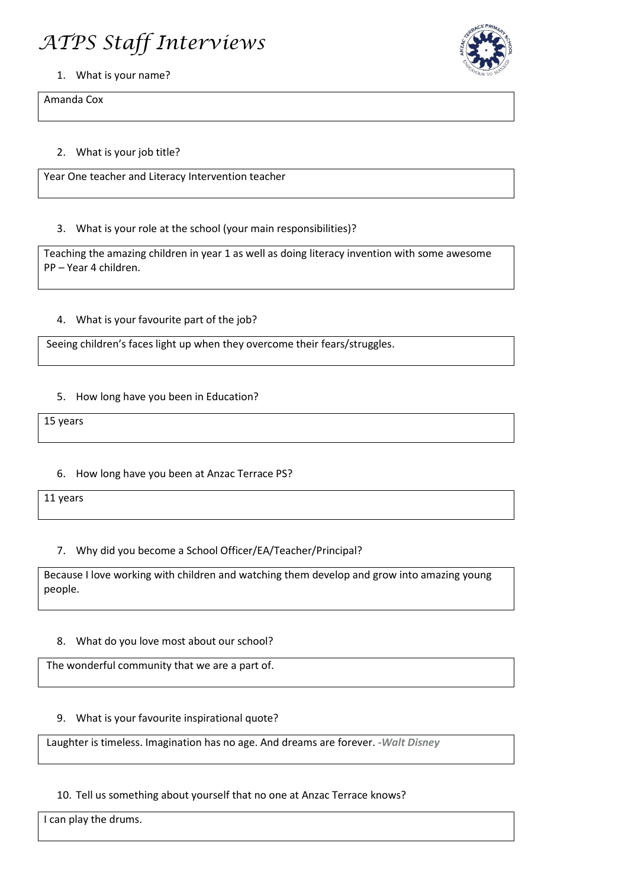# *ATPS Staff Interviews*



#### 1. What is your name?

Amanda Cox

## 2. What is your job title?

Year One teacher and Literacy Intervention teacher

## 3. What is your role at the school (your main responsibilities)?

Teaching the amazing children in year 1 as well as doing literacy invention with some awesome PP – Year 4 children.

## 4. What is your favourite part of the job?

Seeing children's faces light up when they overcome their fears/struggles.

## 5. How long have you been in Education?

15 years

## 6. How long have you been at Anzac Terrace PS?

11 years

## 7. Why did you become a School Officer/EA/Teacher/Principal?

Because I love working with children and watching them develop and grow into amazing young people.

## 8. What do you love most about our school?

The wonderful community that we are a part of.

## 9. What is your favourite inspirational quote?

Laughter is timeless. Imagination has no age. And dreams are forever. *-Walt Disney*

## 10. Tell us something about yourself that no one at Anzac Terrace knows?

I can play the drums.